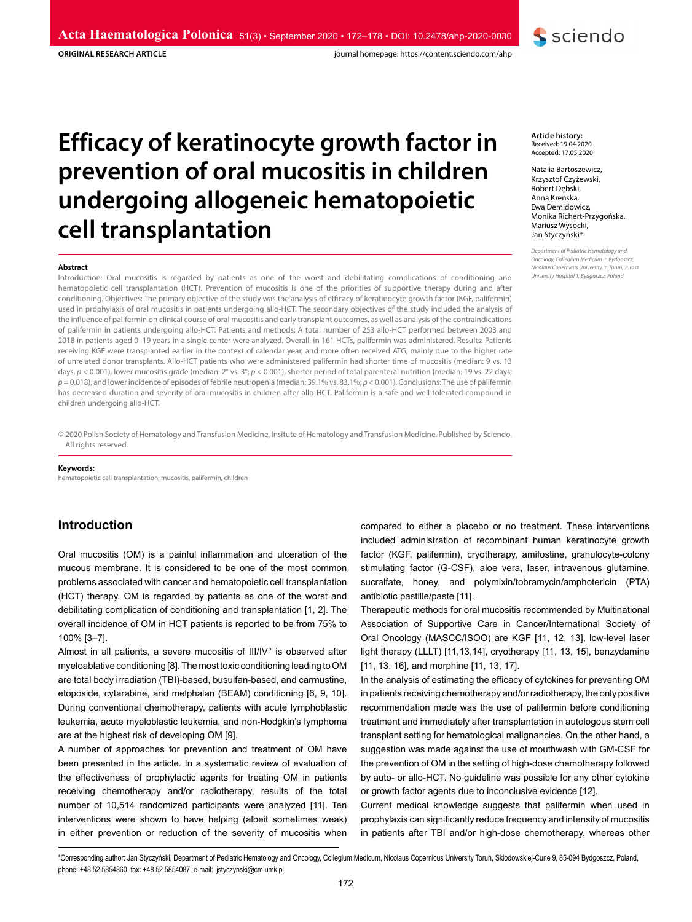**ORIGINAL RESEARCH ARTICLE**

journal homepage: https://content.sciendo.com/ahp

# **Efficacy of keratinocyte growth factor in prevention of oral mucositis in children undergoing allogeneic hematopoietic cell transplantation**

#### **Abstract**

Introduction: Oral mucositis is regarded by patients as one of the worst and debilitating complications of conditioning and hematopoietic cell transplantation (HCT). Prevention of mucositis is one of the priorities of supportive therapy during and after conditioning. Objectives: The primary objective of the study was the analysis of efficacy of keratinocyte growth factor (KGF, palifermin) used in prophylaxis of oral mucositis in patients undergoing allo-HCT. The secondary objectives of the study included the analysis of the influence of palifermin on clinical course of oral mucositis and early transplant outcomes, as well as analysis of the contraindications of palifermin in patients undergoing allo-HCT. Patients and methods: A total number of 253 allo-HCT performed between 2003 and 2018 in patients aged 0–19 years in a single center were analyzed. Overall, in 161 HCTs, palifermin was administered. Results: Patients receiving KGF were transplanted earlier in the context of calendar year, and more often received ATG, mainly due to the higher rate of unrelated donor transplants. Allo-HCT patients who were administered palifermin had shorter time of mucositis (median: 9 vs. 13 days,  $p < 0.001$ ), lower mucositis grade (median: 2° vs. 3°;  $p < 0.001$ ), shorter period of total parenteral nutrition (median: 19 vs. 22 days; *p* = 0.018), and lower incidence of episodes of febrile neutropenia (median: 39.1% vs. 83.1%; *p* < 0.001). Conclusions: The use of palifermin has decreased duration and severity of oral mucositis in children after allo-HCT. Palifermin is a safe and well-tolerated compound in children undergoing allo-HCT.

© 2020 Polish Society of Hematology and Transfusion Medicine, Insitute of Hematology and Transfusion Medicine. Published by Sciendo. All rights reserved.

#### **Keywords:**

hematopoietic cell transplantation, mucositis, palifermin, children

## **Introduction**

Oral mucositis (OM) is a painful inflammation and ulceration of the mucous membrane. It is considered to be one of the most common problems associated with cancer and hematopoietic cell transplantation (HCT) therapy. OM is regarded by patients as one of the worst and debilitating complication of conditioning and transplantation [1, 2]. The overall incidence of OM in HCT patients is reported to be from 75% to 100% [3–7].

Almost in all patients, a severe mucositis of III/IV° is observed after myeloablative conditioning [8]. The most toxic conditioning leading to OM are total body irradiation (TBI)-based, busulfan-based, and carmustine, etoposide, cytarabine, and melphalan (BEAM) conditioning [6, 9, 10]. During conventional chemotherapy, patients with acute lymphoblastic leukemia, acute myeloblastic leukemia, and non-Hodgkin's lymphoma are at the highest risk of developing OM [9].

A number of approaches for prevention and treatment of OM have been presented in the article. In a systematic review of evaluation of the effectiveness of prophylactic agents for treating OM in patients receiving chemotherapy and/or radiotherapy, results of the total number of 10,514 randomized participants were analyzed [11]. Ten interventions were shown to have helping (albeit sometimes weak) in either prevention or reduction of the severity of mucositis when

**Article history:** Received: 19.04.2020 Accepted: 17.05.2020

Natalia Bartoszewicz, Krzysztof Czyżewski, Robert Dębski, Anna Krenska, Ewa Demidowicz, Monika Richert-Przygońska, Mariusz Wysocki, Jan Styczyński\*

**S** sciendo

*Department of Pediatric Hematology and Oncology, Collegium Medicum in Bydgoszcz, Nicolaus Copernicus University in Toruń, Jurasz University Hospital 1, Bydgoszcz, Poland*

compared to either a placebo or no treatment. These interventions included administration of recombinant human keratinocyte growth factor (KGF, palifermin), cryotherapy, amifostine, granulocyte-colony stimulating factor (G-CSF), aloe vera, laser, intravenous glutamine, sucralfate, honey, and polymixin/tobramycin/amphotericin (PTA) antibiotic pastille/paste [11].

Therapeutic methods for oral mucositis recommended by Multinational Association of Supportive Care in Cancer/International Society of Oral Oncology (MASCC/ISOO) are KGF [11, 12, 13], low-level laser light therapy (LLLT) [11,13,14], cryotherapy [11, 13, 15], benzydamine [11, 13, 16], and morphine [11, 13, 17].

In the analysis of estimating the efficacy of cytokines for preventing OM in patients receiving chemotherapy and/or radiotherapy, the only positive recommendation made was the use of palifermin before conditioning treatment and immediately after transplantation in autologous stem cell transplant setting for hematological malignancies. On the other hand, a suggestion was made against the use of mouthwash with GM-CSF for the prevention of OM in the setting of high-dose chemotherapy followed by auto- or allo-HCT. No guideline was possible for any other cytokine or growth factor agents due to inconclusive evidence [12].

Current medical knowledge suggests that palifermin when used in prophylaxis can significantly reduce frequency and intensity of mucositis in patients after TBI and/or high-dose chemotherapy, whereas other

\*Corresponding author: Jan Styczyński, Department of Pediatric Hematology and Oncology, Collegium Medicum, Nicolaus Copernicus University Toruń, Skłodowskiej-Curie 9, 85-094 Bydgoszcz, Poland, phone: +48 52 5854860, fax: +48 52 5854087, e-mail: jstyczynski@cm.umk.pl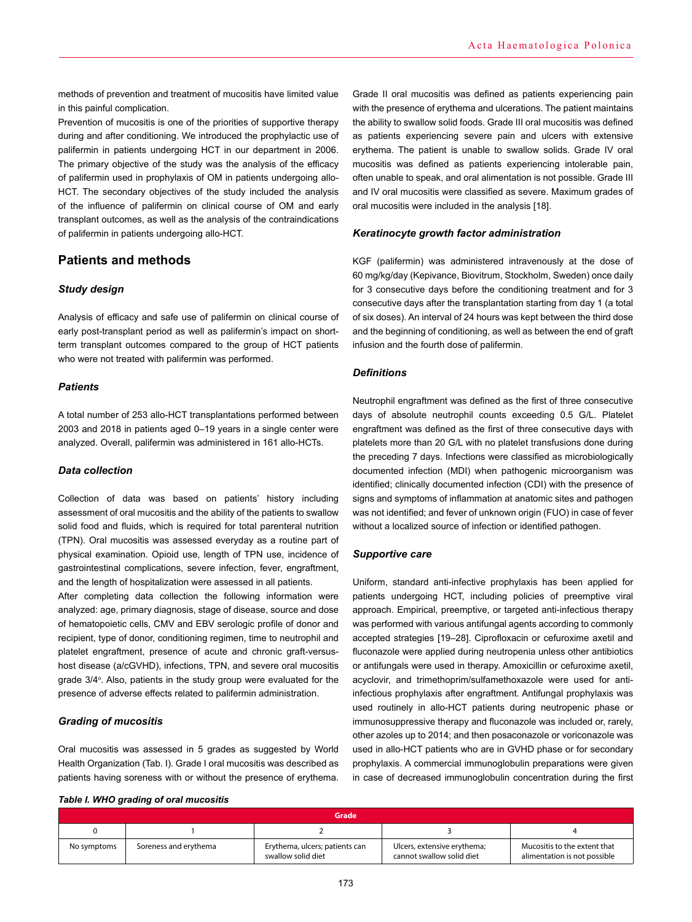methods of prevention and treatment of mucositis have limited value in this painful complication.

Prevention of mucositis is one of the priorities of supportive therapy during and after conditioning. We introduced the prophylactic use of palifermin in patients undergoing HCT in our department in 2006. The primary objective of the study was the analysis of the efficacy of palifermin used in prophylaxis of OM in patients undergoing allo-HCT. The secondary objectives of the study included the analysis of the influence of palifermin on clinical course of OM and early transplant outcomes, as well as the analysis of the contraindications of palifermin in patients undergoing allo-HCT.

# **Patients and methods**

## *Study design*

Analysis of efficacy and safe use of palifermin on clinical course of early post-transplant period as well as palifermin's impact on shortterm transplant outcomes compared to the group of HCT patients who were not treated with palifermin was performed.

## *Patients*

A total number of 253 allo-HCT transplantations performed between 2003 and 2018 in patients aged 0–19 years in a single center were analyzed. Overall, palifermin was administered in 161 allo-HCTs.

## *Data collection*

Collection of data was based on patients' history including assessment of oral mucositis and the ability of the patients to swallow solid food and fluids, which is required for total parenteral nutrition (TPN). Oral mucositis was assessed everyday as a routine part of physical examination. Opioid use, length of TPN use, incidence of gastrointestinal complications, severe infection, fever, engraftment, and the length of hospitalization were assessed in all patients.

After completing data collection the following information were analyzed: age, primary diagnosis, stage of disease, source and dose of hematopoietic cells, CMV and EBV serologic profile of donor and recipient, type of donor, conditioning regimen, time to neutrophil and platelet engraftment, presence of acute and chronic graft-versushost disease (a/cGVHD), infections, TPN, and severe oral mucositis grade 3/4°. Also, patients in the study group were evaluated for the presence of adverse effects related to palifermin administration.

## *Grading of mucositis*

Oral mucositis was assessed in 5 grades as suggested by World Health Organization (Tab. I). Grade I oral mucositis was described as patients having soreness with or without the presence of erythema.

## *Table I. WHO grading of oral mucositis*

Grade II oral mucositis was defined as patients experiencing pain with the presence of erythema and ulcerations. The patient maintains the ability to swallow solid foods. Grade III oral mucositis was defined as patients experiencing severe pain and ulcers with extensive erythema. The patient is unable to swallow solids. Grade IV oral mucositis was defined as patients experiencing intolerable pain, often unable to speak, and oral alimentation is not possible. Grade III and IV oral mucositis were classified as severe. Maximum grades of oral mucositis were included in the analysis [18].

## *Keratinocyte growth factor administration*

KGF (palifermin) was administered intravenously at the dose of 60 mg/kg/day (Kepivance, Biovitrum, Stockholm, Sweden) once daily for 3 consecutive days before the conditioning treatment and for 3 consecutive days after the transplantation starting from day 1 (a total of six doses). An interval of 24 hours was kept between the third dose and the beginning of conditioning, as well as between the end of graft infusion and the fourth dose of palifermin.

## *Definitions*

Neutrophil engraftment was defined as the first of three consecutive days of absolute neutrophil counts exceeding 0.5 G/L. Platelet engraftment was defined as the first of three consecutive days with platelets more than 20 G/L with no platelet transfusions done during the preceding 7 days. Infections were classified as microbiologically documented infection (MDI) when pathogenic microorganism was identified; clinically documented infection (CDI) with the presence of signs and symptoms of inflammation at anatomic sites and pathogen was not identified; and fever of unknown origin (FUO) in case of fever without a localized source of infection or identified pathogen.

## *Supportive care*

Uniform, standard anti-infective prophylaxis has been applied for patients undergoing HCT, including policies of preemptive viral approach. Empirical, preemptive, or targeted anti-infectious therapy was performed with various antifungal agents according to commonly accepted strategies [19–28]. Ciprofloxacin or cefuroxime axetil and fluconazole were applied during neutropenia unless other antibiotics or antifungals were used in therapy. Amoxicillin or cefuroxime axetil, acyclovir, and trimethoprim/sulfamethoxazole were used for antiinfectious prophylaxis after engraftment. Antifungal prophylaxis was used routinely in allo-HCT patients during neutropenic phase or immunosuppressive therapy and fluconazole was included or, rarely, other azoles up to 2014; and then posaconazole or voriconazole was used in allo-HCT patients who are in GVHD phase or for secondary prophylaxis. A commercial immunoglobulin preparations were given in case of decreased immunoglobulin concentration during the first

| Grade       |                       |                                                      |                                                          |                                                              |  |
|-------------|-----------------------|------------------------------------------------------|----------------------------------------------------------|--------------------------------------------------------------|--|
|             |                       |                                                      |                                                          |                                                              |  |
| No symptoms | Soreness and erythema | Erythema, ulcers; patients can<br>swallow solid diet | Ulcers, extensive erythema;<br>cannot swallow solid diet | Mucositis to the extent that<br>alimentation is not possible |  |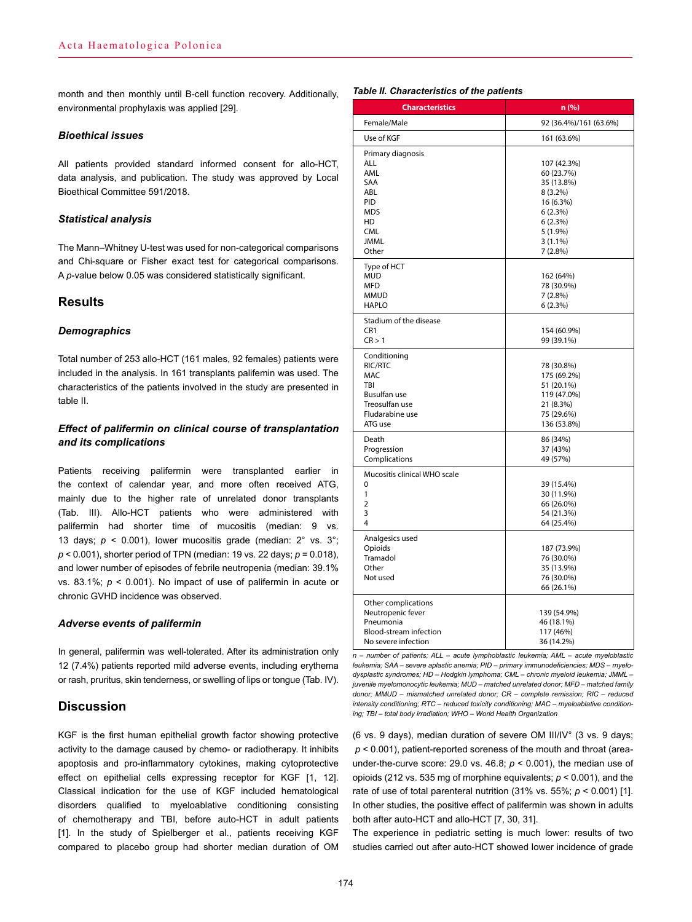month and then monthly until B-cell function recovery. Additionally, environmental prophylaxis was applied [29].

## *Bioethical issues*

All patients provided standard informed consent for allo-HCT, data analysis, and publication. The study was approved by Local Bioethical Committee 591/2018.

## *Statistical analysis*

The Mann–Whitney U-test was used for non-categorical comparisons and Chi-square or Fisher exact test for categorical comparisons. A *p*-value below 0.05 was considered statistically significant.

## **Results**

## *Demographics*

Total number of 253 allo-HCT (161 males, 92 females) patients were included in the analysis. In 161 transplants palifemin was used. The characteristics of the patients involved in the study are presented in table II.

## *Effect of palifermin on clinical course of transplantation and its complications*

Patients receiving palifermin were transplanted earlier in the context of calendar year, and more often received ATG, mainly due to the higher rate of unrelated donor transplants (Tab. III). Allo-HCT patients who were administered with palifermin had shorter time of mucositis (median: 9 vs. 13 days;  $p \le 0.001$ ), lower mucositis grade (median:  $2^\circ$  vs.  $3^\circ$ ; *p* < 0.001), shorter period of TPN (median: 19 vs. 22 days; *p* = 0.018), and lower number of episodes of febrile neutropenia (median: 39.1% vs. 83.1%; *p* < 0.001). No impact of use of palifermin in acute or chronic GVHD incidence was observed.

#### *Adverse events of palifermin*

In general, palifermin was well-tolerated. After its administration only 12 (7.4%) patients reported mild adverse events, including erythema or rash, pruritus, skin tenderness, or swelling of lips or tongue (Tab. IV).

## **Discussion**

KGF is the first human epithelial growth factor showing protective activity to the damage caused by chemo- or radiotherapy. It inhibits apoptosis and pro-inflammatory cytokines, making cytoprotective effect on epithelial cells expressing receptor for KGF [1, 12]. Classical indication for the use of KGF included hematological disorders qualified to myeloablative conditioning consisting of chemotherapy and TBI, before auto-HCT in adult patients [1]. In the study of Spielberger et al., patients receiving KGF compared to placebo group had shorter median duration of OM

## *Table II. Characteristics of the patients*

| <b>Characteristics</b>                                                                                              | n (%)                                                                                                                        |  |  |
|---------------------------------------------------------------------------------------------------------------------|------------------------------------------------------------------------------------------------------------------------------|--|--|
| Female/Male                                                                                                         | 92 (36.4%)/161 (63.6%)                                                                                                       |  |  |
| Use of KGF                                                                                                          | 161 (63.6%)                                                                                                                  |  |  |
| Primary diagnosis<br>ALL<br>AML<br>SAA<br>ABL<br>PID<br>MDS<br>HD<br><b>CML</b><br><b>JMML</b><br>Other             | 107 (42.3%)<br>60 (23.7%)<br>35 (13.8%)<br>$8(3.2\%)$<br>16 (6.3%)<br>6(2.3%)<br>6(2.3%)<br>5(1.9%)<br>$3(1.1\%)$<br>7(2.8%) |  |  |
| Type of HCT<br><b>MUD</b><br>MFD<br><b>MMUD</b><br><b>HAPLO</b>                                                     | 162 (64%)<br>78 (30.9%)<br>7(2.8%)<br>6(2.3%)                                                                                |  |  |
| Stadium of the disease<br>CR1<br>CR > 1                                                                             | 154 (60.9%)<br>99 (39.1%)                                                                                                    |  |  |
| Conditioning<br>RIC/RTC<br><b>MAC</b><br>TBI<br><b>Busulfan use</b><br>Treosulfan use<br>Fludarabine use<br>ATG use | 78 (30.8%)<br>175 (69.2%)<br>51 (20.1%)<br>119 (47.0%)<br>21 (8.3%)<br>75 (29.6%)<br>136 (53.8%)                             |  |  |
| Death<br>Progression<br>Complications                                                                               | 86 (34%)<br>37 (43%)<br>49 (57%)                                                                                             |  |  |
| Mucositis clinical WHO scale<br>0<br>1<br>$\overline{2}$<br>3<br>4                                                  | 39 (15.4%)<br>30 (11.9%)<br>66 (26.0%)<br>54 (21.3%)<br>64 (25.4%)                                                           |  |  |
| Analgesics used<br>Opioids<br>Tramadol<br>Other<br>Not used                                                         | 187 (73.9%)<br>76 (30.0%)<br>35 (13.9%)<br>76 (30.0%)<br>66 (26.1%)                                                          |  |  |
| Other complications<br>Neutropenic fever<br>Pneumonia<br>Blood-stream infection<br>No severe infection              | 139 (54.9%)<br>46 (18.1%)<br>117 (46%)<br>36 (14.2%)                                                                         |  |  |

*n – number of patients; ALL – acute lymphoblastic leukemia; AML – acute myeloblastic leukemia; SAA – severe aplastic anemia; PID – primary immunodeficiencies; MDS – myelodysplastic syndromes; HD – Hodgkin lymphoma; CML – chronic myeloid leukemia; JMML – juvenile myelomonocytic leukemia; MUD – matched unrelated donor; MFD – matched family donor; MMUD – mismatched unrelated donor; CR – complete remission; RIC – reduced intensity conditioning; RTC – reduced toxicity conditioning; MAC – myeloablative conditioning; TBI – total body irradiation; WHO – World Health Organization*

(6 vs. 9 days), median duration of severe OM III/IV° (3 vs. 9 days; *p* < 0.001), patient-reported soreness of the mouth and throat (areaunder-the-curve score: 29.0 vs. 46.8;  $p < 0.001$ ), the median use of opioids (212 vs. 535 mg of morphine equivalents; *p* < 0.001), and the rate of use of total parenteral nutrition (31% vs. 55%; *p* < 0.001) [1]. In other studies, the positive effect of palifermin was shown in adults both after auto-HCT and allo-HCT [7, 30, 31].

The experience in pediatric setting is much lower: results of two studies carried out after auto-HCT showed lower incidence of grade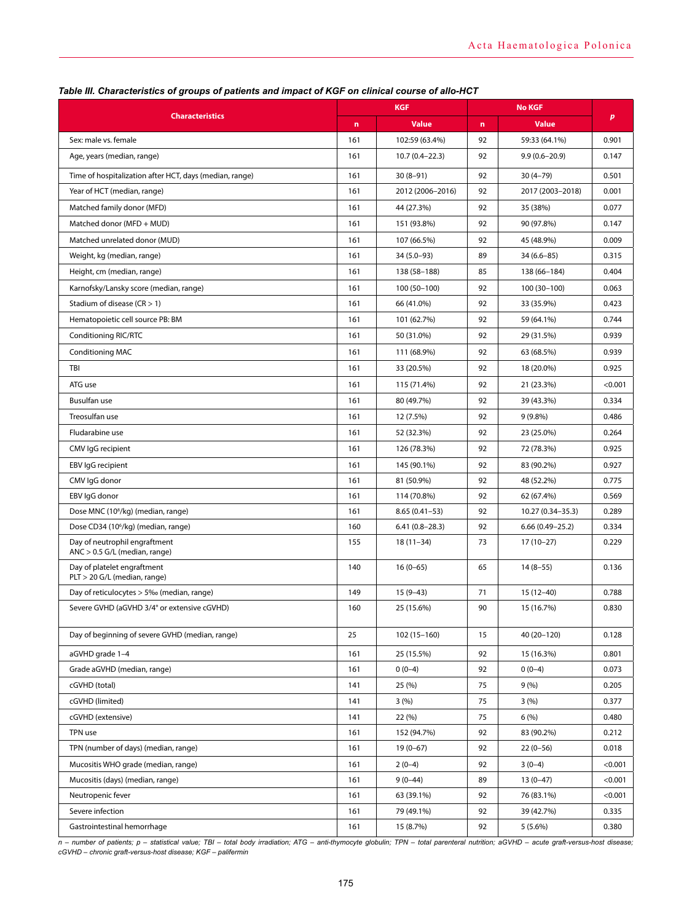| <b>Characteristics</b>                                           |     | <b>KGF</b>         |             | <b>No KGF</b>       |         |
|------------------------------------------------------------------|-----|--------------------|-------------|---------------------|---------|
|                                                                  |     | <b>Value</b>       | $\mathbf n$ | <b>Value</b>        | p       |
| Sex: male vs. female                                             | 161 | 102:59 (63.4%)     | 92          | 59:33 (64.1%)       | 0.901   |
| Age, years (median, range)                                       | 161 | $10.7(0.4 - 22.3)$ | 92          | $9.9(0.6 - 20.9)$   | 0.147   |
| Time of hospitalization after HCT, days (median, range)          | 161 | $30(8-91)$         | 92          | $30(4 - 79)$        | 0.501   |
| Year of HCT (median, range)                                      | 161 | 2012 (2006-2016)   | 92          | 2017 (2003-2018)    | 0.001   |
| Matched family donor (MFD)                                       | 161 | 44 (27.3%)         | 92          | 35 (38%)            | 0.077   |
| Matched donor (MFD + MUD)                                        | 161 | 151 (93.8%)        | 92          | 90 (97.8%)          | 0.147   |
| Matched unrelated donor (MUD)                                    | 161 | 107 (66.5%)        | 92          | 45 (48.9%)          | 0.009   |
| Weight, kg (median, range)                                       | 161 | $34(5.0-93)$       | 89          | $34(6.6 - 85)$      | 0.315   |
| Height, cm (median, range)                                       | 161 | 138 (58-188)       | 85          | 138 (66-184)        | 0.404   |
| Karnofsky/Lansky score (median, range)                           | 161 | 100 (50-100)       | 92          | 100 (30-100)        | 0.063   |
| Stadium of disease ( $CR > 1$ )                                  | 161 | 66 (41.0%)         | 92          | 33 (35.9%)          | 0.423   |
| Hematopoietic cell source PB: BM                                 | 161 | 101 (62.7%)        | 92          | 59 (64.1%)          | 0.744   |
| Conditioning RIC/RTC                                             | 161 | 50 (31.0%)         | 92          | 29 (31.5%)          | 0.939   |
| <b>Conditioning MAC</b>                                          | 161 | 111 (68.9%)        | 92          | 63 (68.5%)          | 0.939   |
| TBI                                                              | 161 | 33 (20.5%)         | 92          | 18 (20.0%)          | 0.925   |
| ATG use                                                          | 161 | 115 (71.4%)        | 92          | 21 (23.3%)          | < 0.001 |
| Busulfan use                                                     | 161 | 80 (49.7%)         | 92          | 39 (43.3%)          | 0.334   |
| Treosulfan use                                                   | 161 | 12 (7.5%)          | 92          | $9(9.8\%)$          | 0.486   |
| Fludarabine use                                                  | 161 | 52 (32.3%)         | 92          | 23 (25.0%)          | 0.264   |
| CMV IgG recipient                                                | 161 | 126 (78.3%)        | 92          | 72 (78.3%)          | 0.925   |
| EBV IgG recipient                                                | 161 | 145 (90.1%)        | 92          | 83 (90.2%)          | 0.927   |
| CMV IgG donor                                                    | 161 | 81 (50.9%)         | 92          | 48 (52.2%)          | 0.775   |
| EBV IgG donor                                                    | 161 | 114 (70.8%)        | 92          | 62 (67.4%)          | 0.569   |
| Dose MNC (10 <sup>8</sup> /kg) (median, range)                   | 161 | $8.65(0.41 - 53)$  | 92          | 10.27 (0.34-35.3)   | 0.289   |
| Dose CD34 (10 <sup>6</sup> /kg) (median, range)                  | 160 | $6.41(0.8-28.3)$   | 92          | $6.66(0.49 - 25.2)$ | 0.334   |
| Day of neutrophil engraftment<br>$ANC > 0.5 G/L$ (median, range) | 155 | $18(11-34)$        | 73          | $17(10-27)$         | 0.229   |
| Day of platelet engraftment<br>PLT > 20 G/L (median, range)      | 140 | $16(0-65)$         | 65          | $14(8-55)$          | 0.136   |
| Day of reticulocytes > 5‰ (median, range)                        | 149 | $15(9-43)$         | 71          | $15(12-40)$         | 0.788   |
| Severe GVHD (aGVHD 3/4° or extensive cGVHD)                      | 160 | 25 (15.6%)         | 90          | 15 (16.7%)          | 0.830   |
| Day of beginning of severe GVHD (median, range)                  | 25  | $102(15-160)$      | 15          | 40 (20-120)         | 0.128   |
| aGVHD grade 1-4                                                  | 161 | 25 (15.5%)         | 92          | 15 (16.3%)          | 0.801   |
| Grade aGVHD (median, range)                                      | 161 | $0(0-4)$           | 92          | $0(0-4)$            | 0.073   |
| cGVHD (total)                                                    | 141 | 25(%)              | 75          | 9(% )               | 0.205   |
| cGVHD (limited)                                                  | 141 | 3(%)               | 75          | 3(%)                | 0.377   |
| cGVHD (extensive)                                                | 141 | 22 (%)             | 75          | 6(%)                | 0.480   |
| TPN use                                                          | 161 | 152 (94.7%)        | 92          | 83 (90.2%)          | 0.212   |
| TPN (number of days) (median, range)                             | 161 | $19(0-67)$         | 92          | $22(0-56)$          | 0.018   |
| Mucositis WHO grade (median, range)                              | 161 | $2(0-4)$           | 92          | $3(0-4)$            | < 0.001 |
| Mucositis (days) (median, range)                                 | 161 | $9(0-44)$          | 89          | $13(0-47)$          | < 0.001 |
| Neutropenic fever                                                | 161 | 63 (39.1%)         | 92          | 76 (83.1%)          | < 0.001 |
| Severe infection                                                 | 161 | 79 (49.1%)         | 92          | 39 (42.7%)          | 0.335   |
| Gastrointestinal hemorrhage                                      | 161 | 15 (8.7%)          | 92          | $5(5.6\%)$          | 0.380   |

# *Table III. Characteristics of groups of patients and impact of KGF on clinical course of allo-HCT*

*n – number of patients; p – statistical value; TBI – total body irradiation; ATG – anti-thymocyte globulin; TPN – total parenteral nutrition; aGVHD – acute graft-versus-host disease; cGVHD – chronic graft-versus-host disease; KGF – palifermin*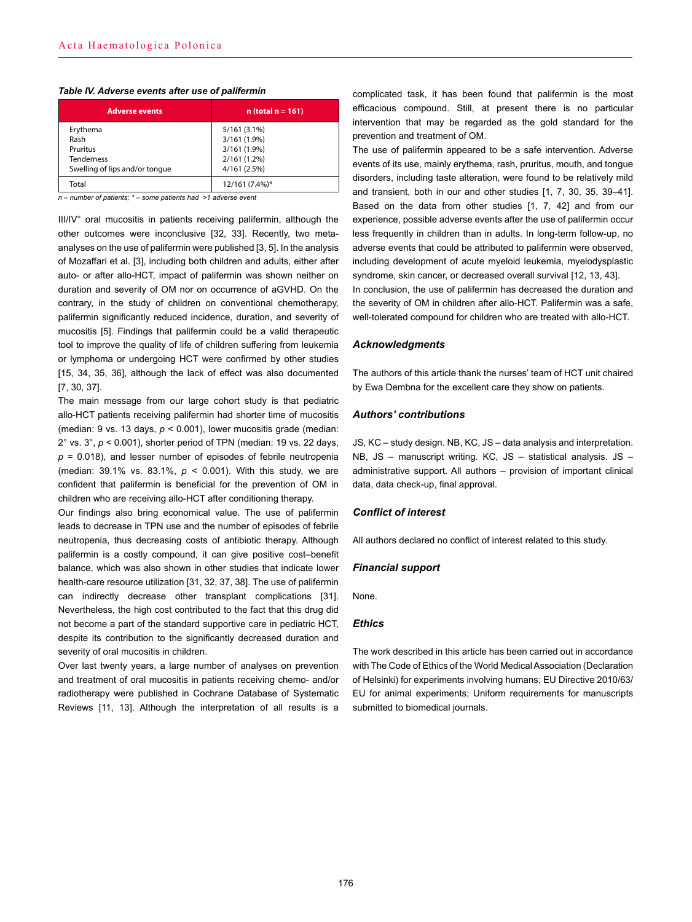| <b>Adverse events</b>          | $n$ (total $n = 161$ ) |  |  |
|--------------------------------|------------------------|--|--|
| Erythema                       | $5/161(3.1\%)$         |  |  |
| Rash                           | 3/161 (1.9%)           |  |  |
| Pruritus                       | 3/161 (1.9%)           |  |  |
| <b>Tenderness</b>              | 2/161(1.2%)            |  |  |
| Swelling of lips and/or tonque | 4/161 (2.5%)           |  |  |
| Total                          | 12/161 (7.4%)*         |  |  |

## *Table IV. Adverse events after use of palifermin*

*n – number of patients; \* – some patients had >1 adverse event*

III/IV° oral mucositis in patients receiving palifermin, although the other outcomes were inconclusive [32, 33]. Recently, two metaanalyses on the use of palifermin were published [3, 5]. In the analysis of Mozaffari et al. [3], including both children and adults, either after auto- or after allo-HCT, impact of palifermin was shown neither on duration and severity of OM nor on occurrence of aGVHD. On the contrary, in the study of children on conventional chemotherapy, palifermin significantly reduced incidence, duration, and severity of mucositis [5]. Findings that palifermin could be a valid therapeutic tool to improve the quality of life of children suffering from leukemia or lymphoma or undergoing HCT were confirmed by other studies [15, 34, 35, 36], although the lack of effect was also documented [7, 30, 37].

The main message from our large cohort study is that pediatric allo-HCT patients receiving palifermin had shorter time of mucositis (median: 9 vs. 13 days, *p* < 0.001), lower mucositis grade (median: 2° vs. 3°, *p* < 0.001), shorter period of TPN (median: 19 vs. 22 days,  $p = 0.018$ ), and lesser number of episodes of febrile neutropenia (median: 39.1% vs. 83.1%, *p* < 0.001). With this study, we are confident that palifermin is beneficial for the prevention of OM in children who are receiving allo-HCT after conditioning therapy.

Our findings also bring economical value. The use of palifermin leads to decrease in TPN use and the number of episodes of febrile neutropenia, thus decreasing costs of antibiotic therapy. Although palifermin is a costly compound, it can give positive cost–benefit balance, which was also shown in other studies that indicate lower health-care resource utilization [31, 32, 37, 38]. The use of palifermin can indirectly decrease other transplant complications [31]. Nevertheless, the high cost contributed to the fact that this drug did not become a part of the standard supportive care in pediatric HCT, despite its contribution to the significantly decreased duration and severity of oral mucositis in children.

Over last twenty years, a large number of analyses on prevention and treatment of oral mucositis in patients receiving chemo- and/or radiotherapy were published in Cochrane Database of Systematic Reviews [11, 13]. Although the interpretation of all results is a

complicated task, it has been found that palifermin is the most efficacious compound. Still, at present there is no particular intervention that may be regarded as the gold standard for the prevention and treatment of OM.

The use of palifermin appeared to be a safe intervention. Adverse events of its use, mainly erythema, rash, pruritus, mouth, and tongue disorders, including taste alteration, were found to be relatively mild and transient, both in our and other studies [1, 7, 30, 35, 39–41]. Based on the data from other studies [1, 7, 42] and from our experience, possible adverse events after the use of palifermin occur less frequently in children than in adults. In long-term follow-up, no adverse events that could be attributed to palifermin were observed, including development of acute myeloid leukemia, myelodysplastic syndrome, skin cancer, or decreased overall survival [12, 13, 43]. In conclusion, the use of palifermin has decreased the duration and the severity of OM in children after allo-HCT. Palifermin was a safe, well-tolerated compound for children who are treated with allo-HCT.

## *Acknowledgments*

The authors of this article thank the nurses' team of HCT unit chaired by Ewa Dembna for the excellent care they show on patients.

#### *Authors' contributions*

JS, KC – study design. NB, KC, JS – data analysis and interpretation. NB, JS – manuscript writing. KC, JS – statistical analysis. JS – administrative support. All authors – provision of important clinical data, data check-up, final approval.

## *Conflict of interest*

All authors declared no conflict of interest related to this study.

#### *Financial support*

None.

#### *Ethics*

The work described in this article has been carried out in accordance with The Code of Ethics of the World Medical Association (Declaration of Helsinki) for experiments involving humans; EU Directive 2010/63/ EU for animal experiments; Uniform requirements for manuscripts submitted to biomedical journals.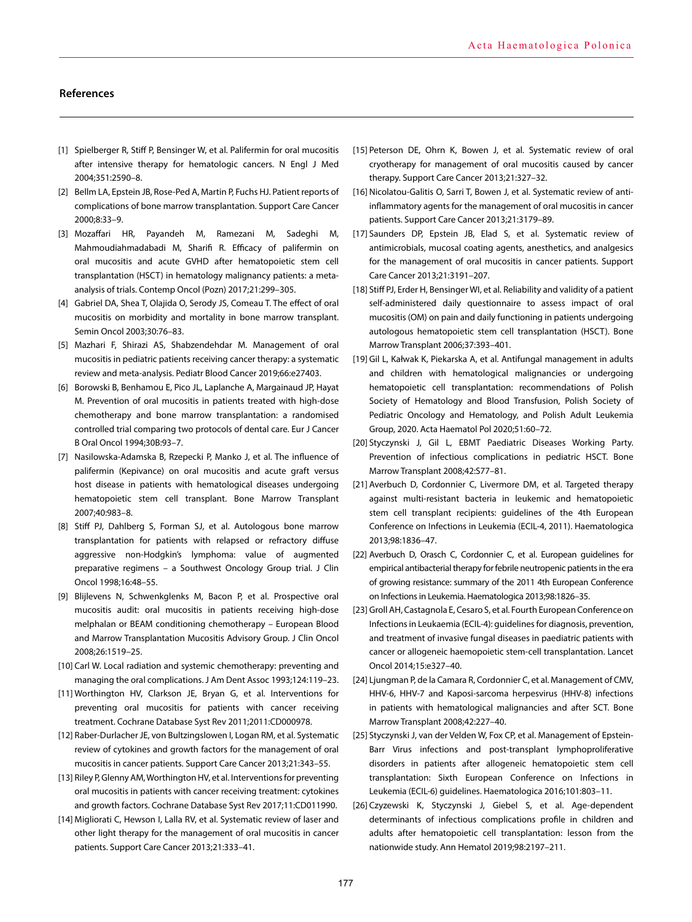## **References**

- [1] Spielberger R, Stiff P, Bensinger W, et al. Palifermin for oral mucositis after intensive therapy for hematologic cancers. N Engl J Med 2004;351:2590–8.
- [2] Bellm LA, Epstein JB, Rose-Ped A, Martin P, Fuchs HJ. Patient reports of complications of bone marrow transplantation. Support Care Cancer 2000;8:33–9.
- [3] Mozaffari HR, Payandeh M, Ramezani M, Sadeghi M, Mahmoudiahmadabadi M, Sharifi R. Efficacy of palifermin on oral mucositis and acute GVHD after hematopoietic stem cell transplantation (HSCT) in hematology malignancy patients: a metaanalysis of trials. Contemp Oncol (Pozn) 2017;21:299–305.
- [4] Gabriel DA, Shea T, Olajida O, Serody JS, Comeau T. The effect of oral mucositis on morbidity and mortality in bone marrow transplant. Semin Oncol 2003;30:76–83.
- [5] Mazhari F, Shirazi AS, Shabzendehdar M. Management of oral mucositis in pediatric patients receiving cancer therapy: a systematic review and meta-analysis. Pediatr Blood Cancer 2019;66:e27403.
- [6] Borowski B, Benhamou E, Pico JL, Laplanche A, Margainaud JP, Hayat M. Prevention of oral mucositis in patients treated with high-dose chemotherapy and bone marrow transplantation: a randomised controlled trial comparing two protocols of dental care. Eur J Cancer B Oral Oncol 1994;30B:93–7.
- [7] Nasilowska-Adamska B, Rzepecki P, Manko J, et al. The influence of palifermin (Kepivance) on oral mucositis and acute graft versus host disease in patients with hematological diseases undergoing hematopoietic stem cell transplant. Bone Marrow Transplant 2007;40:983–8.
- [8] Stiff PJ, Dahlberg S, Forman SJ, et al. Autologous bone marrow transplantation for patients with relapsed or refractory diffuse aggressive non-Hodgkin's lymphoma: value of augmented preparative regimens – a Southwest Oncology Group trial. J Clin Oncol 1998;16:48–55.
- [9] Blijlevens N, Schwenkglenks M, Bacon P, et al. Prospective oral mucositis audit: oral mucositis in patients receiving high-dose melphalan or BEAM conditioning chemotherapy – European Blood and Marrow Transplantation Mucositis Advisory Group. J Clin Oncol 2008;26:1519–25.
- [10] Carl W. Local radiation and systemic chemotherapy: preventing and managing the oral complications. J Am Dent Assoc 1993;124:119–23.
- [11] Worthington HV, Clarkson JE, Bryan G, et al. Interventions for preventing oral mucositis for patients with cancer receiving treatment. Cochrane Database Syst Rev 2011;2011:CD000978.
- [12] Raber-Durlacher JE, von Bultzingslowen I, Logan RM, et al. Systematic review of cytokines and growth factors for the management of oral mucositis in cancer patients. Support Care Cancer 2013;21:343–55.
- [13] Riley P, Glenny AM, Worthington HV, et al. Interventions for preventing oral mucositis in patients with cancer receiving treatment: cytokines and growth factors. Cochrane Database Syst Rev 2017;11:CD011990.
- [14] Migliorati C, Hewson I, Lalla RV, et al. Systematic review of laser and other light therapy for the management of oral mucositis in cancer patients. Support Care Cancer 2013;21:333–41.
- [15] Peterson DE, Ohrn K, Bowen J, et al. Systematic review of oral cryotherapy for management of oral mucositis caused by cancer therapy. Support Care Cancer 2013;21:327–32.
- [16] Nicolatou-Galitis O, Sarri T, Bowen J, et al. Systematic review of antiinflammatory agents for the management of oral mucositis in cancer patients. Support Care Cancer 2013;21:3179–89.
- [17] Saunders DP, Epstein JB, Elad S, et al. Systematic review of antimicrobials, mucosal coating agents, anesthetics, and analgesics for the management of oral mucositis in cancer patients. Support Care Cancer 2013;21:3191–207.
- [18] Stiff PJ, Erder H, Bensinger WI, et al. Reliability and validity of a patient self-administered daily questionnaire to assess impact of oral mucositis (OM) on pain and daily functioning in patients undergoing autologous hematopoietic stem cell transplantation (HSCT). Bone Marrow Transplant 2006;37:393–401.
- [19] Gil L, Kałwak K, Piekarska A, et al. Antifungal management in adults and children with hematological malignancies or undergoing hematopoietic cell transplantation: recommendations of Polish Society of Hematology and Blood Transfusion, Polish Society of Pediatric Oncology and Hematology, and Polish Adult Leukemia Group, 2020. Acta Haematol Pol 2020;51:60–72.
- [20] Styczynski J, Gil L, [EBMT Paediatric Diseases Working Party.](https://pubmed.ncbi.nlm.nih.gov/?term=EBMT+Paediatric+Diseases+Working+Party%5BCorporate+Author%5D) Prevention of infectious complications in pediatric HSCT. Bone Marrow Transplant 2008;42:S77–81.
- [21] Averbuch D, Cordonnier C, Livermore DM, et al. Targeted therapy against multi-resistant bacteria in leukemic and hematopoietic stem cell transplant recipients: guidelines of the 4th European Conference on Infections in Leukemia (ECIL-4, 2011). Haematologica 2013;98:1836–47.
- [22] Averbuch D, Orasch C, Cordonnier C, et al. European guidelines for empirical antibacterial therapy for febrile neutropenic patients in the era of growing resistance: summary of the 2011 4th European Conference on Infections in Leukemia. Haematologica 2013;98:1826–35.
- [23] Groll AH, Castagnola E, Cesaro S, et al. Fourth European Conference on Infections in Leukaemia (ECIL-4): guidelines for diagnosis, prevention, and treatment of invasive fungal diseases in paediatric patients with cancer or allogeneic haemopoietic stem-cell transplantation. Lancet Oncol 2014;15:e327–40.
- [24] Ljungman P, de la Camara R, Cordonnier C, et al. Management of CMV, HHV-6, HHV-7 and Kaposi-sarcoma herpesvirus (HHV-8) infections in patients with hematological malignancies and after SCT. Bone Marrow Transplant 2008;42:227–40.
- [25] Styczynski J, van der Velden W, Fox CP, et al. Management of Epstein-Barr Virus infections and post-transplant lymphoproliferative disorders in patients after allogeneic hematopoietic stem cell transplantation: Sixth European Conference on Infections in Leukemia (ECIL-6) guidelines. Haematologica 2016;101:803–11.
- [26] Czyzewski K, Styczynski J, Giebel S, et al. Age-dependent determinants of infectious complications profile in children and adults after hematopoietic cell transplantation: lesson from the nationwide study. Ann Hematol 2019;98:2197–211.